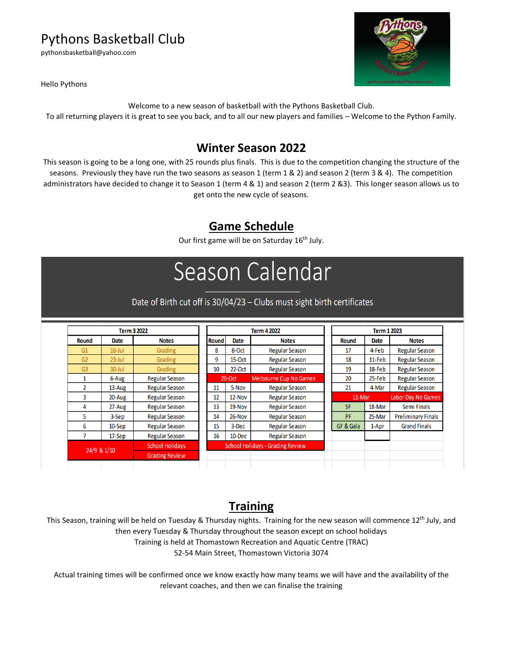# Pythons Basketball Club

pythonsbasketball@yahoo.com



Hello Pythons

Welcome to a new season of basketball with the Pythons Basketball Club.

To all returning players it is great to see you back, and to all our new players and families – Welcome to the Python Family.

## **Winter Season 2022**

This season is going to be a long one, with 25 rounds plus finals. This is due to the competition changing the structure of the seasons. Previously they have run the two seasons as season 1 (term 1 & 2) and season 2 (term 3 & 4). The competition administrators have decided to change it to Season 1 (term 4 & 1) and season 2 (term 2 &3). This longer season allows us to get onto the new cycle of seasons.

# **Game Schedule**

Our first game will be on Saturday 16<sup>th</sup> July.

# Season Calendar

#### Date of Birth cut off is 30/04/23 - Clubs must sight birth certificates

| Term 3 2022    |            |                        | Term 4 2022  |                                         |                               |  | <b>Term 1 2023</b> |        |                           |  |
|----------------|------------|------------------------|--------------|-----------------------------------------|-------------------------------|--|--------------------|--------|---------------------------|--|
| Round          | Date       | <b>Notes</b>           | <b>Round</b> | Date                                    | <b>Notes</b>                  |  | Round              | Date   | <b>Notes</b>              |  |
| G1             | $16$ -Jul  | Grading                | 8            | 8-Oct                                   | <b>Regular Season</b>         |  | 17                 | 4-Feb  | <b>Regular Season</b>     |  |
| G <sub>2</sub> | $23$ -Jul  | Grading                | 9            | $15-Oct$                                | <b>Regular Season</b>         |  | 18                 | 11-Feb | <b>Regular Season</b>     |  |
| G <sub>3</sub> | $30 -$ Jul | Grading                | 10           | $22-Oct$                                | <b>Regular Season</b>         |  | 19                 | 18-Feb | <b>Regular Season</b>     |  |
|                | 6-Aug      | <b>Regular Season</b>  |              | $29-Oct$                                | <b>Melbourne Cup No Games</b> |  | 20                 | 25-Feb | <b>Regular Season</b>     |  |
| 2              | 13-Aug     | <b>Regular Season</b>  | 11           | 5-Nov                                   | <b>Regular Season</b>         |  | 21                 | 4-Mar  | <b>Regular Season</b>     |  |
| 3              | 20-Aug     | <b>Regular Season</b>  | 12           | $12-Nov$                                | <b>Regular Season</b>         |  | 11-Mar             |        | <b>Labor Day No Games</b> |  |
| 4              | 27-Aug     | <b>Regular Season</b>  | 13           | 19-Nov                                  | <b>Regular Season</b>         |  | <b>SF</b>          | 18-Mar | Semi Finals               |  |
| 5              | 3-Sep      | <b>Regular Season</b>  | 14           | 26-Nov                                  | <b>Regular Season</b>         |  | PF                 | 25-Mar | <b>Preliminary Finals</b> |  |
| 6              | $10-$ Sep  | <b>Regular Season</b>  | 15           | 3-Dec                                   | <b>Regular Season</b>         |  | GF & Gala          | 1-Apr  | <b>Grand Finals</b>       |  |
|                | $17-$ Sep  | <b>Regular Season</b>  | 16           | 10-Dec                                  | <b>Regular Season</b>         |  |                    |        |                           |  |
| 24/9 & 1/10    |            | <b>School Holidays</b> |              | <b>School Holidays - Grading Review</b> |                               |  |                    |        |                           |  |
|                |            | <b>Grading Review</b>  |              |                                         |                               |  |                    |        |                           |  |
|                |            |                        |              |                                         |                               |  |                    |        |                           |  |

# **Training**

This Season, training will be held on Tuesday & Thursday nights. Training for the new season will commence  $12^{th}$  July, and then every Tuesday & Thursday throughout the season except on school holidays Training is held at Thomastown Recreation and Aquatic Centre (TRAC) 52-54 Main Street, Thomastown Victoria 3074

Actual training times will be confirmed once we know exactly how many teams we will have and the availability of the relevant coaches, and then we can finalise the training